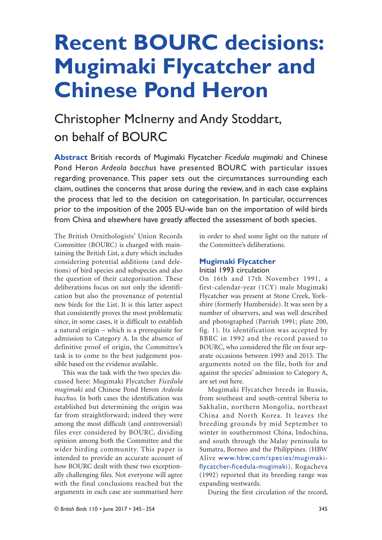# **Recent BOURC decisions: Mugimaki Flycatcher and Chinese Pond Heron**

# Christopher McInerny and Andy Stoddart, on behalf of BOURC

**Abstract** British records of Mugimaki Flycatcher *Ficedula mugimaki* and Chinese Pond Heron *Ardeola bacchus* have presented BOURC with particular issues regarding provenance. This paper sets out the circumstances surrounding each claim, outlines the concerns that arose during the review, and in each case explains the process that led to the decision on categorisation. In particular, occurrences prior to the imposition of the 2005 EU-wide ban on the importation of wild birds from China and elsewhere have greatly affected the assessment of both species.

The British Ornithologists' Union Records Committee (BOURC) is charged with maintaining the British List, a duty which includes considering potential additions (and deletions) of bird species and subspecies and also the question of their categorisation. These deliberations focus on not only the identification but also the provenance of potential new birds for the List. It is this latter aspect that consistently proves the most problematic since, in some cases, it is difficult to establish a natural origin – which is a prerequisite for admission to Category A. In the absence of definitive proof of origin, the Committee's task is to come to the best judgement possible based on the evidence available.

This was the task with the two species discussed here: Mugimaki Flycatcher *Ficedula mugimaki* and Chinese Pond Heron *Ardeola bacchus*. In both cases the identification was established but determining the origin was far from straightforward; indeed they were among the most difficult (and controversial) files ever considered by BOURC, dividing opinion among both the Committee and the wider birding community. This paper is intended to provide an accurate account of how BOURC dealt with these two exceptionally challenging files. Not everyone will agree with the final conclusions reached but the arguments in each case are summarised here

in order to shed some light on the nature of the Committee's deliberations.

# **Mugimaki Flycatcher**

### Initial 1993 circulation

On 16th and 17th November 1991, a first-calendar-year (1CY) male Mugimaki Flycatcher was present at Stone Creek, Yorkshire (formerly Humberside). It was seen by a number of observers, and was well described and photographed (Parrish 1991; plate 200, fig. 1). Its identification was accepted by BBRC in 1992 and the record passed to BOURC, who considered the file on four separate occasions between 1993 and 2015. The arguments noted on the file, both for and against the species' admission to Category A, are set out here.

Mugimaki Flycatcher breeds in Russia, from southeast and south-central Siberia to Sakhalin, northern Mongolia, northeast China and North Korea. It leaves the breeding grounds by mid September to winter in southernmost China, Indochina, and south through the Malay peninsula to Sumatra, Borneo and the Philippines. (HBW Alive www.hbw.com/species/mugimakiflycatcher-ficedula-mugimaki). Rogacheva (1992) reported that its breeding range was expanding westwards.

During the first circulation of the record,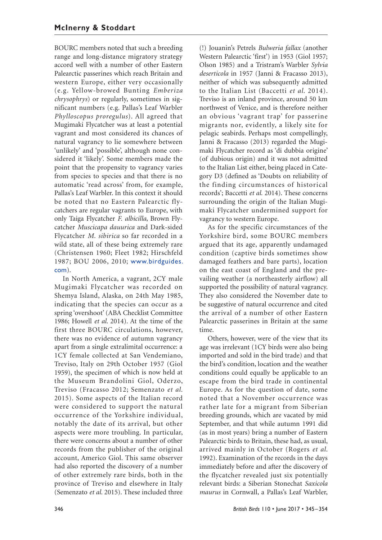BOURC members noted that such a breeding range and long-distance migratory strategy accord well with a number of other Eastern Palearctic passerines which reach Britain and western Europe, either very occasionally (e.g. Yellow-browed Bunting *Emberiza chrysophrys*) or regularly, sometimes in significant numbers (e.g. Pallas's Leaf Warbler *Phylloscopus proregulus*). All agreed that Mugimaki Flycatcher was at least a potential vagrant and most considered its chances of natural vagrancy to lie somewhere between 'unlikely' and 'possible', although none considered it 'likely'. Some members made the point that the propensity to vagrancy varies from species to species and that there is no automatic 'read across' from, for example, Pallas's Leaf Warbler. In this context it should be noted that no Eastern Palearctic flycatchers are regular vagrants to Europe, with only Taiga Flycatcher *F. albicilla*, Brown Flycatcher *Muscicapa dauurica* and Dark-sided Flycatcher *M. sibirica* so far recorded in a wild state, all of these being extremely rare (Christensen 1960; Fleet 1982; Hirschfeld 1987; BOU 2006, 2010; www.birdguides. com).

In North America, a vagrant, 2CY male Mugimaki Flycatcher was recorded on Shemya Island, Alaska, on 24th May 1985, indicating that the species can occur as a spring 'overshoot' (ABA Checklist Committee 1986; Howell *et al*. 2014). At the time of the first three BOURC circulations, however, there was no evidence of autumn vagrancy apart from a single extralimital occurrence: a 1CY female collected at San Vendemiano, Treviso, Italy on 29th October 1957 (Giol 1959), the specimen of which is now held at the Museum Brandolini Giol, Oderzo, Treviso (Fracasso 2012; Semenzato *et al.* 2015). Some aspects of the Italian record were considered to support the natural occurrence of the Yorkshire individual, notably the date of its arrival, but other aspects were more troubling. In particular, there were concerns about a number of other records from the publisher of the original account, Americo Giol. This same observer had also reported the discovery of a number of other extremely rare birds, both in the province of Treviso and elsewhere in Italy (Semenzato *et al.* 2015). These included three

(!) Jouanin's Petrels *Bulweria fallax* (another Western Palearctic 'first') in 1953 (Giol 1957; Olson 1985) and a Tristram's Warbler *Sylvia deserticola* in 1957 (Janni & Fracasso 2013), neither of which was subsequently admitted to the Italian List (Baccetti *et al.* 2014). Treviso is an inland province, around 50 km northwest of Venice, and is therefore neither an obvious 'vagrant trap' for passerine migrants nor, evidently, a likely site for pelagic seabirds. Perhaps most compellingly, Janni & Fracasso (2013) regarded the Mugimaki Flycatcher record as 'di dubbia origine' (of dubious origin) and it was not admitted to the Italian List either, being placed in Category D3 (defined as 'Doubts on reliability of the finding circumstances of historical records'; Baccetti *et al.* 2014). These concerns surrounding the origin of the Italian Mugimaki Flycatcher undermined support for vagrancy to western Europe.

As for the specific circumstances of the Yorkshire bird, some BOURC members argued that its age, apparently undamaged condition (captive birds sometimes show damaged feathers and bare parts), location on the east coast of England and the prevailing weather (a northeasterly airflow) all supported the possibility of natural vagrancy. They also considered the November date to be suggestive of natural occurrence and cited the arrival of a number of other Eastern Palearctic passerines in Britain at the same time.

Others, however, were of the view that its age was irrelevant (1CY birds were also being imported and sold in the bird trade) and that the bird's condition, location and the weather conditions could equally be applicable to an escape from the bird trade in continental Europe. As for the question of date, some noted that a November occurrence was rather late for a migrant from Siberian breeding grounds, which are vacated by mid September, and that while autumn 1991 did (as in most years) bring a number of Eastern Palearctic birds to Britain, these had, as usual, arrived mainly in October (Rogers *et al*. 1992). Examination of the records in the days immediately before and after the discovery of the flycatcher revealed just six potentially relevant birds: a Siberian Stonechat *Saxicola maurus* in Cornwall, a Pallas's Leaf Warbler,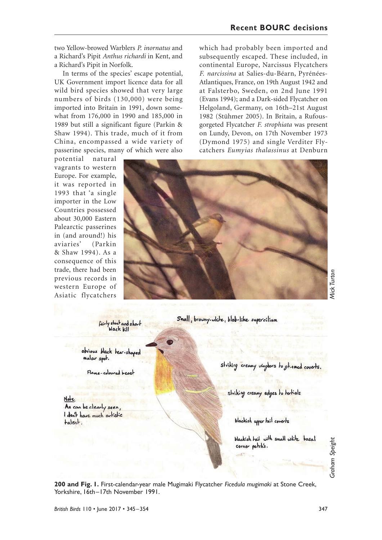which had probably been imported and subsequently escaped. These included, in continental Europe, Narcissus Flycatchers *F. narcissina* at Salies-du-Béarn, Pyrénées-Atlantiques, France, on 19th August 1942 and at Falsterbo, Sweden, on 2nd June 1991 (Evans 1994); and a Dark-sided Flycatcher on Helgoland, Germany, on 16th–21st August 1982 (Stühmer 2005). In Britain, a Rufousgorgeted Flycatcher *F. strophiata* was present on Lundy, Devon, on 17th November 1973 (Dymond 1975) and single Verditer Flycatchers *Eumyias thalassinus* at Denburn

two Yellow-browed Warblers *P. inornatus* and a Richard's Pipit *Anthus richardi* in Kent, and a Richard's Pipit in Norfolk.

In terms of the species' escape potential, UK Government import licence data for all wild bird species showed that very large numbers of birds (130,000) were being imported into Britain in 1991, down somewhat from 176,000 in 1990 and 185,000 in 1989 but still a significant figure (Parkin & Shaw 1994). This trade, much of it from China, encompassed a wide variety of passerine species, many of which were also

potential natural vagrants to western Europe. For example, it was reported in 1993 that 'a single importer in the Low Countries possessed about 30,000 Eastern Palearctic passerines in (and around!) his aviaries' (Parkin & Shaw 1994). As a consequence of this trade, there had been previous records in western Europe of Asiatic flycatchers

Small, browny-white, blob-like supercilium

obvious black lear-shaped malar spot.

Fairly shout and short

Flame-coloured breast

Note As can be clearly seen. I don't have much artistic talent.

striking creamy usingbors to gt. + med coverts.

striking creamy edges to tertials

blackish upper hail coverts

blackish tail with small white basal corner patch's.

**200 and Fig. 1.** First-calendar-year male Mugimaki Flycatcher *Ficedula mugimaki* at Stone Creek, Yorkshire, 16th–17th November 1991.

Graham Speight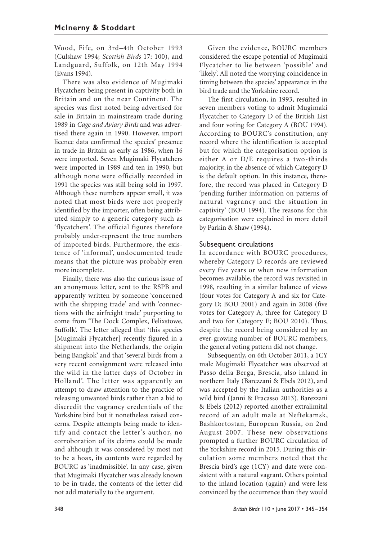Wood, Fife, on 3rd–4th October 1993 (Culshaw 1994; *Scottish Birds* 17: 100), and Landguard, Suffolk, on 12th May 1994 (Evans 1994).

There was also evidence of Mugimaki Flycatchers being present in captivity both in Britain and on the near Continent. The species was first noted being advertised for sale in Britain in mainstream trade during 1989 in *Cage and Aviary Birds* and was advertised there again in 1990. However, import licence data confirmed the species' presence in trade in Britain as early as 1986, when 16 were imported. Seven Mugimaki Flycatchers were imported in 1989 and ten in 1990, but although none were officially recorded in 1991 the species was still being sold in 1997. Although these numbers appear small, it was noted that most birds were not properly identified by the importer, often being attributed simply to a generic category such as 'flycatchers'. The official figures therefore probably under-represent the true numbers of imported birds. Furthermore, the existence of 'informal', undocumented trade means that the picture was probably even more incomplete.

Finally, there was also the curious issue of an anonymous letter, sent to the RSPB and apparently written by someone 'concerned with the shipping trade' and with 'connections with the airfreight trade' purporting to come from 'The Dock Complex, Felixstowe, Suffolk'. The letter alleged that 'this species [Mugimaki Flycatcher] recently figured in a shipment into the Netherlands, the origin being Bangkok' and that 'several birds from a very recent consignment were released into the wild in the latter days of October in Holland'. The letter was apparently an attempt to draw attention to the practice of releasing unwanted birds rather than a bid to discredit the vagrancy credentials of the Yorkshire bird but it nonetheless raised concerns. Despite attempts being made to identify and contact the letter's author, no corroboration of its claims could be made and although it was considered by most not to be a hoax, its contents were regarded by BOURC as 'inadmissible'. In any case, given that Mugimaki Flycatcher was already known to be in trade, the contents of the letter did not add materially to the argument.

Given the evidence, BOURC members considered the escape potential of Mugimaki Flycatcher to lie between 'possible' and 'likely'. All noted the worrying coincidence in timing between the species' appearance in the bird trade and the Yorkshire record.

The first circulation, in 1993, resulted in seven members voting to admit Mugimaki Flycatcher to Category D of the British List and four voting for Category A (BOU 1994). According to BOURC's constitution, any record where the identification is accepted but for which the categorisation option is either A or D/E requires a two-thirds majority, in the absence of which Category D is the default option. In this instance, therefore, the record was placed in Category D 'pending further information on patterns of natural vagrancy and the situation in captivity' (BOU 1994). The reasons for this categorisation were explained in more detail by Parkin & Shaw (1994).

#### Subsequent circulations

In accordance with BOURC procedures, whereby Category D records are reviewed every five years or when new information becomes available, the record was revisited in 1998, resulting in a similar balance of views (four votes for Category A and six for Category D; BOU 2001) and again in 2008 (five votes for Category A, three for Category D and two for Category E; BOU 2010). Thus, despite the record being considered by an ever-growing number of BOURC members, the general voting pattern did not change.

Subsequently, on 6th October 2011, a 1CY male Mugimaki Flycatcher was observed at Passo della Berga, Brescia, also inland in northern Italy (Barezzani & Ebels 2012), and was accepted by the Italian authorities as a wild bird (Janni & Fracasso 2013). Barezzani & Ebels (2012) reported another extralimital record of an adult male at Neftekamsk, Bashkortostan, European Russia, on 2nd August 2007. These new observations prompted a further BOURC circulation of the Yorkshire record in 2015. During this circulation some members noted that the Brescia bird's age (1CY) and date were consistent with a natural vagrant. Others pointed to the inland location (again) and were less convinced by the occurrence than they would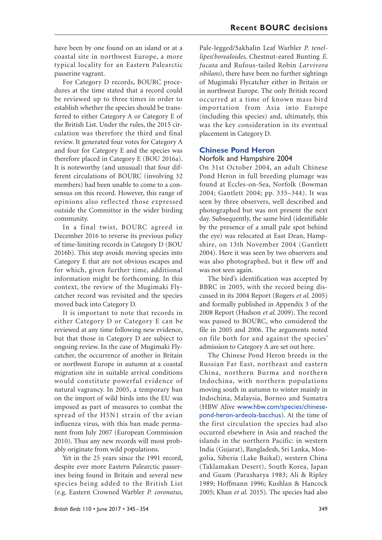have been by one found on an island or at a coastal site in northwest Europe, a more typical locality for an Eastern Palearctic passerine vagrant.

For Category D records, BOURC procedures at the time stated that a record could be reviewed up to three times in order to establish whether the species should be transferred to either Category A or Category E of the British List. Under the rules, the 2015 circulation was therefore the third and final review. It generated four votes for Category A and four for Category E and the species was therefore placed in Category E (BOU 2016a). It is noteworthy (and unusual) that four different circulations of BOURC (involving 32 members) had been unable to come to a consensus on this record. However, this range of opinions also reflected those expressed outside the Committee in the wider birding community.

In a final twist, BOURC agreed in December 2016 to reverse its previous policy of time-limiting records in Category D (BOU 2016b). This step avoids moving species into Category E that are not obvious escapes and for which, given further time, additional information might be forthcoming. In this context, the review of the Mugimaki Flycatcher record was revisited and the species moved back into Category D.

It is important to note that records in either Category D or Category E can be reviewed at any time following new evidence, but that those in Category D are subject to ongoing review. In the case of Mugimaki Flycatcher, the occurrence of another in Britain or northwest Europe in autumn at a coastal migration site in suitable arrival conditions would constitute powerful evidence of natural vagrancy. In 2005, a temporary ban on the import of wild birds into the EU was imposed as part of measures to combat the spread of the H5N1 strain of the avian influenza virus, with this ban made permanent from July 2007 (European Commission 2010). Thus any new records will most probably originate from wild populations.

Yet in the 25 years since the 1991 record, despite ever more Eastern Palearctic passerines being found in Britain and several new species being added to the British List (e.g. Eastern Crowned Warbler *P. coronatus*,

Pale-legged/Sakhalin Leaf Warbler *P. tenellipes*/*borealoides*, Chestnut-eared Bunting *E. fucata* and Rufous-tailed Robin *Larvivora sibilans*), there have been no further sightings of Mugimaki Flycatcher either in Britain or in northwest Europe. The only British record occurred at a time of known mass bird importation from Asia into Europe (including this species) and, ultimately, this was the key consideration in its eventual placement in Category D.

#### **Chinese Pond Heron**

#### Norfolk and Hampshire 2004

On 31st October 2004, an adult Chinese Pond Heron in full breeding plumage was found at Eccles-on-Sea, Norfolk (Bowman 2004; Gantlett 2004; pp. 335–344). It was seen by three observers, well described and photographed but was not present the next day. Subsequently, the same bird (identifiable by the presence of a small pale spot behind the eye) was relocated at East Dean, Hampshire, on 13th November 2004 (Gantlett 2004). Here it was seen by two observers and was also photographed, but it flew off and was not seen again.

The bird's identification was accepted by BBRC in 2005, with the record being discussed in its 2004 Report (Rogers *et al*. 2005) and formally published in Appendix 3 of the 2008 Report (Hudson *et al*. 2009). The record was passed to BOURC, who considered the file in 2005 and 2006. The arguments noted on file both for and against the species' admission to Category A are set out here.

The Chinese Pond Heron breeds in the Russian Far East, northeast and eastern China, northern Burma and northern Indochina, with northern populations moving south in autumn to winter mainly in Indochina, Malaysia, Borneo and Sumatra (HBW Alive www.hbw.com/species/chinesepond-heron-ardeola-bacchus). At the time of the first circulation the species had also occurred elsewhere in Asia and reached the islands in the northern Pacific: in western India (Gujarat), Bangladesh, Sri Lanka, Mongolia, Siberia (Lake Baikal), western China (Taklamakan Desert), South Korea, Japan and Guam (Parasharya 1983; Ali & Ripley 1989; Hoffmann 1996; Kushlan & Hancock 2005; Khan *et al.* 2015). The species had also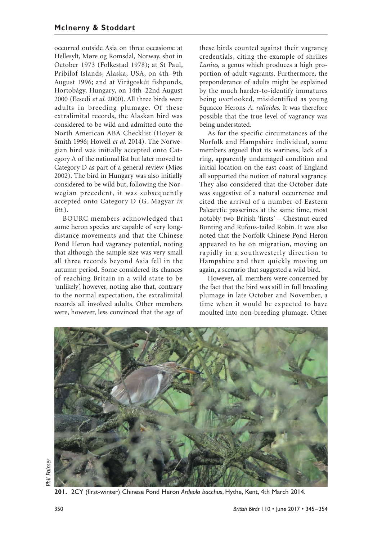occurred outside Asia on three occasions: at Hellesylt, Møre og Romsdal, Norway, shot in October 1973 (Folkestad 1978); at St Paul, Pribilof Islands, Alaska, USA, on 4th–9th August 1996; and at Virágoskút fishponds, Hortobágy, Hungary, on 14th–22nd August 2000 (Ecsedi *et al*. 2000). All three birds were adults in breeding plumage. Of these extralimital records, the Alaskan bird was considered to be wild and admitted onto the North American ABA Checklist (Hoyer & Smith 1996; Howell *et al*. 2014). The Norwegian bird was initially accepted onto Category A of the national list but later moved to Category D as part of a general review (Mjøs 2002). The bird in Hungary was also initially considered to be wild but, following the Norwegian precedent, it was subsequently accepted onto Category D (G. Magyar *in litt*.).

BOURC members acknowledged that some heron species are capable of very longdistance movements and that the Chinese Pond Heron had vagrancy potential, noting that although the sample size was very small all three records beyond Asia fell in the autumn period. Some considered its chances of reaching Britain in a wild state to be 'unlikely', however, noting also that, contrary to the normal expectation, the extralimital records all involved adults. Other members were, however, less convinced that the age of

these birds counted against their vagrancy credentials, citing the example of shrikes *Lanius*, a genus which produces a high proportion of adult vagrants. Furthermore, the preponderance of adults might be explained by the much harder-to-identify immatures being overlooked, misidentified as young Squacco Herons *A. ralloides.* It was therefore possible that the true level of vagrancy was being understated.

As for the specific circumstances of the Norfolk and Hampshire individual, some members argued that its wariness, lack of a ring, apparently undamaged condition and initial location on the east coast of England all supported the notion of natural vagrancy. They also considered that the October date was suggestive of a natural occurrence and cited the arrival of a number of Eastern Palearctic passerines at the same time, most notably two British 'firsts' – Chestnut-eared Bunting and Rufous-tailed Robin. It was also noted that the Norfolk Chinese Pond Heron appeared to be on migration, moving on rapidly in a southwesterly direction to Hampshire and then quickly moving on again, a scenario that suggested a wild bird.

However, all members were concerned by the fact that the bird was still in full breeding plumage in late October and November, a time when it would be expected to have moulted into non-breeding plumage. Other



*Phil Palmer*Palmer

**201.** 2CY (first-winter) Chinese Pond Heron *Ardeola bacchus*, Hythe, Kent, 4th March 2014.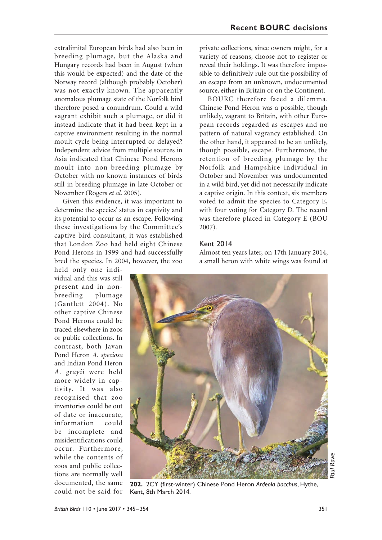extralimital European birds had also been in breeding plumage, but the Alaska and Hungary records had been in August (when this would be expected) and the date of the Norway record (although probably October) was not exactly known. The apparently anomalous plumage state of the Norfolk bird therefore posed a conundrum. Could a wild vagrant exhibit such a plumage, or did it instead indicate that it had been kept in a captive environment resulting in the normal moult cycle being interrupted or delayed? Independent advice from multiple sources in Asia indicated that Chinese Pond Herons moult into non-breeding plumage by October with no known instances of birds still in breeding plumage in late October or November (Rogers *et al.* 2005).

Given this evidence, it was important to determine the species' status in captivity and its potential to occur as an escape. Following these investigations by the Committee's captive-bird consultant, it was established that London Zoo had held eight Chinese Pond Herons in 1999 and had successfully bred the species. In 2004, however, the zoo

held only one individual and this was still present and in nonbreeding plumage (Gantlett 2004). No other captive Chinese Pond Herons could be traced elsewhere in zoos or public collections. In contrast, both Javan Pond Heron *A. speciosa* and Indian Pond Heron *A. grayii* were held more widely in captivity. It was also recognised that zoo inventories could be out of date or inaccurate, information could be incomplete and misidentifications could occur. Furthermore, while the contents of zoos and public collections are normally well documented, the same could not be said for

private collections, since owners might, for a variety of reasons, choose not to register or reveal their holdings. It was therefore impossible to definitively rule out the possibility of an escape from an unknown, undocumented source, either in Britain or on the Continent.

BOURC therefore faced a dilemma. Chinese Pond Heron was a possible, though unlikely, vagrant to Britain, with other European records regarded as escapes and no pattern of natural vagrancy established. On the other hand, it appeared to be an unlikely, though possible, escape. Furthermore, the retention of breeding plumage by the Norfolk and Hampshire individual in October and November was undocumented in a wild bird, yet did not necessarily indicate a captive origin. In this context, six members voted to admit the species to Category E, with four voting for Category D. The record was therefore placed in Category E (BOU 2007).

#### Kent 2014

Almost ten years later, on 17th January 2014, a small heron with white wings was found at



**202.** 2CY (first-winter) Chinese Pond Heron *Ardeola bacchus*, Hythe, Kent, 8th March 2014.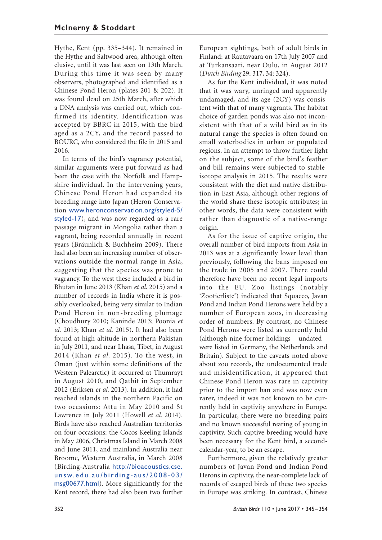Hythe, Kent (pp. 335–344). It remained in the Hythe and Saltwood area, although often elusive, until it was last seen on 13th March. During this time it was seen by many observers, photographed and identified as a Chinese Pond Heron (plates 201 & 202). It was found dead on 25th March, after which a DNA analysis was carried out, which confirmed its identity. Identification was accepted by BBRC in 2015, with the bird aged as a 2CY, and the record passed to BOURC, who considered the file in 2015 and 2016.

In terms of the bird's vagrancy potential, similar arguments were put forward as had been the case with the Norfolk and Hampshire individual. In the intervening years, Chinese Pond Heron had expanded its breeding range into Japan (Heron Conservation www.heronconservation.org/styled-5/ styled-17), and was now regarded as a rare passage migrant in Mongolia rather than a vagrant, being recorded annually in recent years (Bräunlich & Buchheim 2009). There had also been an increasing number of observations outside the normal range in Asia, suggesting that the species was prone to vagrancy. To the west these included a bird in Bhutan in June 2013 (Khan *et al.* 2015) and a number of records in India where it is possibly overlooked, being very similar to Indian Pond Heron in non-breeding plumage (Choudhury 2010; Kaninde 2013; Poonia *et al.* 2013; Khan *et al.* 2015). It had also been found at high altitude in northern Pakistan in July 2011, and near Lhasa, Tibet, in August 2014 (Khan *et al.* 2015). To the west, in Oman (just within some definitions of the Western Palearctic) it occurred at Thumrayt in August 2010, and Qatbit in September 2012 (Eriksen *et al*. 2013). In addition, it had reached islands in the northern Pacific on two occasions: Attu in May 2010 and St Lawrence in July 2011 (Howell *et al*. 2014). Birds have also reached Australian territories on four occasions: the Cocos Keeling Islands in May 2006, Christmas Island in March 2008 and June 2011, and mainland Australia near Broome, Western Australia, in March 2008 (Birding-Australia http://bioacoustics.cse. unsw.edu.au/birding-aus/2008-03/ msg00677.html). More significantly for the Kent record, there had also been two further

European sightings, both of adult birds in Finland: at Rautavaara on 17th July 2007 and at Turkansaari, near Oulu, in August 2012 (*Dutch Birding* 29: 317, 34: 324).

As for the Kent individual, it was noted that it was wary, unringed and apparently undamaged, and its age (2CY) was consistent with that of many vagrants. The habitat choice of garden ponds was also not inconsistent with that of a wild bird as in its natural range the species is often found on small waterbodies in urban or populated regions. In an attempt to throw further light on the subject, some of the bird's feather and bill remains were subjected to stableisotope analysis in 2015. The results were consistent with the diet and native distribution in East Asia, although other regions of the world share these isotopic attributes; in other words, the data were consistent with rather than diagnostic of a native-range origin.

As for the issue of captive origin, the overall number of bird imports from Asia in 2013 was at a significantly lower level than previously, following the bans imposed on the trade in 2005 and 2007. There could therefore have been no recent legal imports into the EU. Zoo listings (notably 'Zootierliste') indicated that Squacco, Javan Pond and Indian Pond Herons were held by a number of European zoos, in decreasing order of numbers. By contrast, no Chinese Pond Herons were listed as currently held (although nine former holdings – undated – were listed in Germany, the Netherlands and Britain). Subject to the caveats noted above about zoo records, the undocumented trade and misidentification, it appeared that Chinese Pond Heron was rare in captivity prior to the import ban and was now even rarer, indeed it was not known to be currently held in captivity anywhere in Europe. In particular, there were no breeding pairs and no known successful rearing of young in captivity. Such captive breeding would have been necessary for the Kent bird, a secondcalendar-year, to be an escape.

Furthermore, given the relatively greater numbers of Javan Pond and Indian Pond Herons in captivity, the near-complete lack of records of escaped birds of these two species in Europe was striking. In contrast, Chinese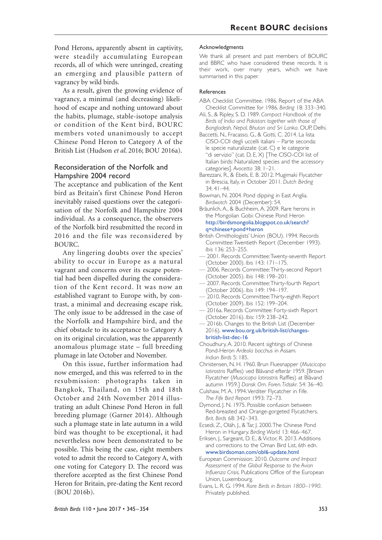Pond Herons, apparently absent in captivity, were steadily accumulating European records, all of which were unringed, creating an emerging and plausible pattern of vagrancy by wild birds.

As a result, given the growing evidence of vagrancy, a minimal (and decreasing) likelihood of escape and nothing untoward about the habits, plumage, stable-isotope analysis or condition of the Kent bird, BOURC members voted unanimously to accept Chinese Pond Heron to Category A of the British List (Hudson *et al*. 2016; BOU 2016a).

#### Reconsideration of the Norfolk and Hampshire 2004 record

The acceptance and publication of the Kent bird as Britain's first Chinese Pond Heron inevitably raised questions over the categorisation of the Norfolk and Hampshire 2004 individual. As a consequence, the observers of the Norfolk bird resubmitted the record in 2016 and the file was reconsidered by BOURC.

Any lingering doubts over the species' ability to occur in Europe as a natural vagrant and concerns over its escape potential had been dispelled during the consideration of the Kent record. It was now an established vagrant to Europe with, by contrast, a minimal and decreasing escape risk. The only issue to be addressed in the case of the Norfolk and Hampshire bird, and the chief obstacle to its acceptance to Category A on its original circulation, was the apparently anomalous plumage state – full breeding plumage in late October and November.

On this issue, further information had now emerged, and this was referred to in the resubmission: photographs taken in Bangkok, Thailand, on 15th and 18th October and 24th November 2014 illustrating an adult Chinese Pond Heron in full breeding plumage (Garner 2014). Although such a plumage state in late autumn in a wild bird was thought to be exceptional, it had nevertheless now been demonstrated to be possible. This being the case, eight members voted to admit the record to Category A, with one voting for Category D. The record was therefore accepted as the first Chinese Pond Heron for Britain, pre-dating the Kent record (BOU 2016b).

#### Acknowledgments

We thank all present and past members of BOURC and BBRC who have considered these records. It is their work, over many years, which we have summarised in this paper.

#### References

- ABA Checklist Committee. 1986. Report of the ABA Checklist Committee for 1986. *Birding* 18: 333–340.
- Ali, S., & Ripley, S. D. 1989. *Compact Handbook of the Birds of India and Pakistan: together with those of Bangladesh, Nepal, Bhutan and Sri Lanka*. OUP, Delhi.
- Baccetti, N., Fracasso, G., & Gotti, C. 2014. La lista CISO-COI degli uccelli italiani – Parte seconda: le specie naturalizzate (cat. C) e le categorie "di servizio" (cat. D, E, X) [The CISO-COI list of Italian birds: Naturalized species and the accessory categories]. *Avocetta* 38: 1–21.
- Barezzani, R., & Ebels, E. B. 2012. Mugimaki Flycatcher in Brescia, Italy, in October 2011. *Dutch Birding*  $34.4$ |  $-44$
- Bowman, N. 2004. Pond dipping in East Anglia. *Birdwatch* 2004 (December): 54.
- Bräunlich, A., & Buchheim, A. 2009. Rare herons in the Mongolian Gobi: Chinese Pond Heron http://birdsmongolia.blogspot.co.uk/search? q=chinese+pond+heron
- British Ornithologists' Union (BOU). 1994. Records Committee: Twentieth Report (December 1993). *Ibis* 136: 253–255.
- 2001. Records Committee: Twenty-seventh Report (October 2000). *Ibis* 143: 171–175.
- 2006. Records Committee: Thirty-second Report (October 2005). *Ibis* 148: 198–201.
- 2007. Records Committee: Thirty-fourth Report (October 2006). *Ibis* 149: 194–197.
- 2010. Records Committee: Thirty-eighth Report (October 2009). *Ibis* 152: 199–204.
- 2016a. Records Committee: Forty-sixth Report (October 2016). *Ibis*: 159: 238–242.
- 2016b. Changes to the British List (December 2016). www.bou.org.uk/british-list/changesbritish-list-dec-16
- Choudhury, A. 2010. Recent sightings of Chinese Pond-Heron *Ardeola bacchus* in Assam. *Indian Birds* 5: 185.
- Christensen, N. H. 1960. Brun Fluesnapper (*Muscicapa latirostris* Raffles) ved Blåvand efterår 1959. [Brown Flycatcher (*Muscicapa latirostris* Raffles) at Blåvand autumn 1959.] *Dansk Orn. Foren. Tidsskr*. 54: 36–40.
- Culshaw, M. A. 1994. Verditer Flycatcher in Fife. *The Fife Bird Report* 1993: 72–73.
- Dymond, J. N. 1975. Possible confusion between Red-breasted and Orange-gorgeted Flycatchers. *Brit. Birds* 68: 342–343.
- Ecsedi, Z., Oláh, J., & Tar, J. 2000. The Chinese Pond Heron in Hungary. *Birding World* 13: 466–467.
- Eriksen, J., Sargeant, D. E., & Victor, R. 2013. Additions and corrections to the Oman Bird List, 6th edn. www.birdsoman.com/obl6-update.html
- European Commission. 2010. *Outcome and Impact Assessment of the Global Response to the Avian Influenza Crisis*. Publications Office of the European Union, Luxembourg.
- Evans, L. R. G. 1994. *Rare Birds in Britain 1800–1990*. Privately published.